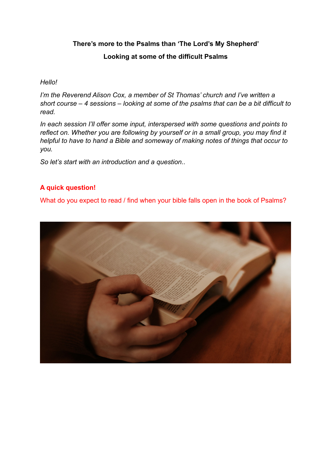# **There's more to the Psalms than 'The Lord's My Shepherd' Looking at some of the difficult Psalms**

*Hello!* 

*I'm the Reverend Alison Cox, a member of St Thomas' church and I've written a short course – 4 sessions – looking at some of the psalms that can be a bit difficult to read.* 

*In each session I'll offer some input, interspersed with some questions and points to reflect on. Whether you are following by yourself or in a small group, you may find it helpful to have to hand a Bible and someway of making notes of things that occur to you.* 

*So let's start with an introduction and a question..* 

## **A quick question!**

What do you expect to read / find when your bible falls open in the book of Psalms?

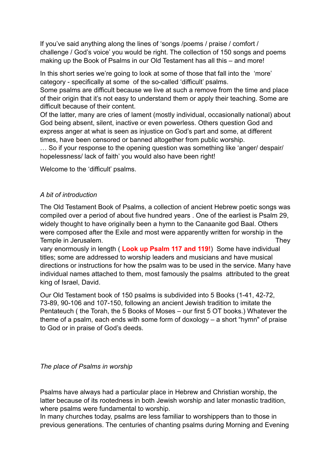If you've said anything along the lines of 'songs /poems / praise / comfort / challenge / God's voice' you would be right. The collection of 150 songs and poems making up the Book of Psalms in our Old Testament has all this – and more!

In this short series we're going to look at some of those that fall into the 'more' category - specifically at some of the so-called 'difficult' psalms.

Some psalms are difficult because we live at such a remove from the time and place of their origin that it's not easy to understand them or apply their teaching. Some are difficult because of their content.

Of the latter, many are cries of lament (mostly individual, occasionally national) about God being absent, silent, inactive or even powerless. Others question God and express anger at what is seen as injustice on God's part and some, at different times, have been censored or banned altogether from public worship.

… So if your response to the opening question was something like 'anger/ despair/ hopelessness/ lack of faith' you would also have been right!

Welcome to the 'difficult' psalms.

## *A bit of introduction*

The Old Testament Book of Psalms, a collection of ancient Hebrew poetic songs was compiled over a period of about five hundred years . One of the earliest is Psalm 29, widely thought to have originally been a hymn to the Canaanite god Baal. Others were composed after the Exile and most were apparently written for worship in the Temple in Jerusalem. They contain the state of the state of the state of the state of the state of the state of the state of the state of the state of the state of the state of the state of the state of the state of the st

vary enormously in length ( **Look up Psalm 117 and 119!**) Some have individual titles; some are addressed to worship leaders and musicians and have musical directions or instructions for how the psalm was to be used in the service. Many have individual names attached to them, most famously the psalms attributed to the great king of Israel, David.

Our Old Testament book of 150 psalms is subdivided into 5 Books (1-41, 42-72, 73-89, 90-106 and 107-150, following an ancient Jewish tradition to imitate the Pentateuch ( the Torah, the 5 Books of Moses – our first 5 OT books.) Whatever the theme of a psalm, each ends with some form of doxology – a short "hymn" of praise to God or in praise of God's deeds.

### *The place of Psalms in worship*

Psalms have always had a particular place in Hebrew and Christian worship, the latter because of its rootedness in both Jewish worship and later monastic tradition, where psalms were fundamental to worship.

In many churches today, psalms are less familiar to worshippers than to those in previous generations. The centuries of chanting psalms during Morning and Evening